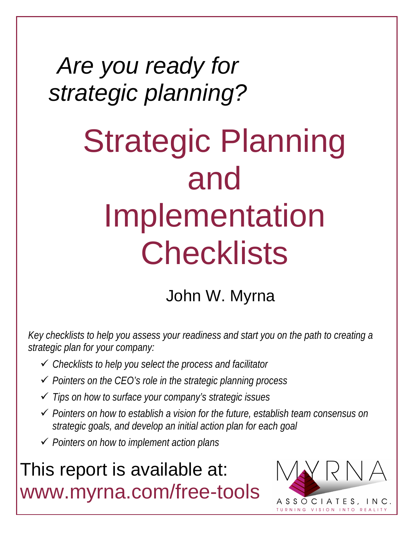## *Are you ready for strategic planning?*

# Strategic Planning and Implementation **Checklists**

### John W. Myrna

*Key checklists to help you assess your readiness and start you on the path to creating a strategic plan for your company:*

- *Checklists to help you select the process and facilitator*
- *Pointers on the CEO's role in the strategic planning process*
- *Tips on how to surface your company's strategic issues*
- *Pointers on how to establish a vision for the future, establish team consensus on strategic goals, and develop an initial action plan for each goal*
- *Pointers on how to implement action plans*

### This report is available at: www.myrna.com/free-tools

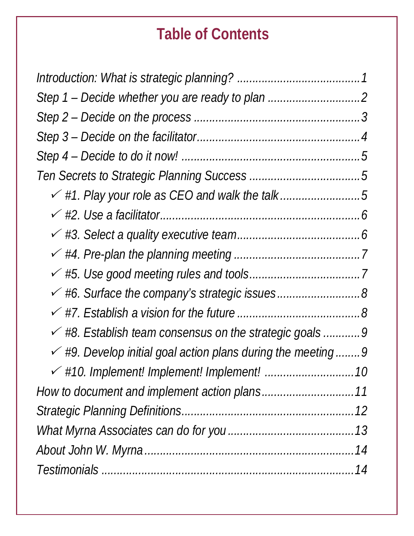#### **Table of Contents**

| $\checkmark$ #1. Play your role as CEO and walk the talk5                |
|--------------------------------------------------------------------------|
|                                                                          |
|                                                                          |
|                                                                          |
|                                                                          |
| ← #6. Surface the company's strategic issues8                            |
|                                                                          |
| $\checkmark$ #8. Establish team consensus on the strategic goals 9       |
| $\checkmark$ #9. Develop initial goal action plans during the meeting  9 |
|                                                                          |
|                                                                          |
|                                                                          |
|                                                                          |
|                                                                          |
|                                                                          |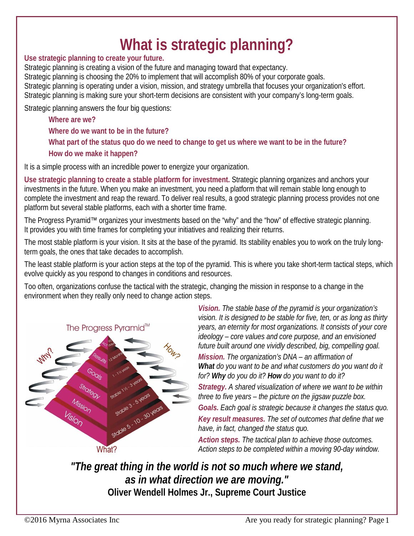#### **What is strategic planning?**

#### **Use strategic planning to create your future.**

Strategic planning is creating a vision of the future and managing toward that expectancy. Strategic planning is choosing the 20% to implement that will accomplish 80% of your corporate goals. Strategic planning is operating under a vision, mission, and strategy umbrella that focuses your organization's effort. Strategic planning is making sure your short-term decisions are consistent with your company's long-term goals.

Strategic planning answers the four big questions:

**Where are we? Where do we want to be in the future? What part of the status quo do we need to change to get us where we want to be in the future? How do we make it happen?**

It is a simple process with an incredible power to energize your organization.

**Use strategic planning to create a stable platform for investment.** Strategic planning organizes and anchors your investments in the future. When you make an investment, you need a platform that will remain stable long enough to complete the investment and reap the reward. To deliver real results, a good strategic planning process provides not one platform but several stable platforms, each with a shorter time frame.

The Progress Pyramid™ organizes your investments based on the "why" and the "how" of effective strategic planning. It provides you with time frames for completing your initiatives and realizing their returns.

The most stable platform is your vision. It sits at the base of the pyramid. Its stability enables you to work on the truly longterm goals, the ones that take decades to accomplish.

The least stable platform is your action steps at the top of the pyramid. This is where you take short-term tactical steps, which evolve quickly as you respond to changes in conditions and resources.

Too often, organizations confuse the tactical with the strategic, changing the mission in response to a change in the environment when they really only need to change action steps.



*Vision. The stable base of the pyramid is your organization's vision. It is designed to be stable for five, ten, or as long as thirty years, an eternity for most organizations. It consists of your core ideology – core values and core purpose, and an envisioned future built around one vividly described, big, compelling goal. Mission. The organization's DNA – an affirmation of What do you want to be and what customers do you want do it for? Why do you do it? How do you want to do it? Strategy. A shared visualization of where we want to be within three to five years – the picture on the jigsaw puzzle box. Goals. Each goal is strategic because it changes the status quo. Key result measures. The set of outcomes that define that we have, in fact, changed the status quo. Action steps. The tactical plan to achieve those outcomes. Action steps to be completed within a moving 90-day window.*

*"The great thing in the world is not so much where we stand, as in what direction we are moving."* **Oliver Wendell Holmes Jr., Supreme Court Justice**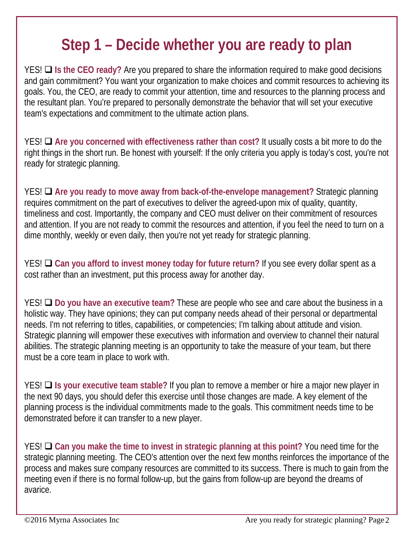#### **Step 1 – Decide whether you are ready to plan**

YES! **Is the CEO ready?** Are you prepared to share the information required to make good decisions and gain commitment? You want your organization to make choices and commit resources to achieving its goals. You, the CEO, are ready to commit your attention, time and resources to the planning process and the resultant plan. You're prepared to personally demonstrate the behavior that will set your executive team's expectations and commitment to the ultimate action plans.

YES! **Are you concerned with effectiveness rather than cost?** It usually costs a bit more to do the right things in the short run. Be honest with yourself: If the only criteria you apply is today's cost, you're not ready for strategic planning.

YES! **Are you ready to move away from back-of-the-envelope management?** Strategic planning requires commitment on the part of executives to deliver the agreed-upon mix of quality, quantity, timeliness and cost. Importantly, the company and CEO must deliver on their commitment of resources and attention. If you are not ready to commit the resources and attention, if you feel the need to turn on a dime monthly, weekly or even daily, then you're not yet ready for strategic planning.

YES! **Can you afford to invest money today for future return?** If you see every dollar spent as a cost rather than an investment, put this process away for another day.

YES! **Do you have an executive team?** These are people who see and care about the business in a holistic way. They have opinions; they can put company needs ahead of their personal or departmental needs. I'm not referring to titles, capabilities, or competencies; I'm talking about attitude and vision. Strategic planning will empower these executives with information and overview to channel their natural abilities. The strategic planning meeting is an opportunity to take the measure of your team, but there must be a core team in place to work with.

YES! **Is your executive team stable?** If you plan to remove a member or hire a major new player in the next 90 days, you should defer this exercise until those changes are made. A key element of the planning process is the individual commitments made to the goals. This commitment needs time to be demonstrated before it can transfer to a new player.

YES! **Can you make the time to invest in strategic planning at this point?** You need time for the strategic planning meeting. The CEO's attention over the next few months reinforces the importance of the process and makes sure company resources are committed to its success. There is much to gain from the meeting even if there is no formal follow-up, but the gains from follow-up are beyond the dreams of avarice.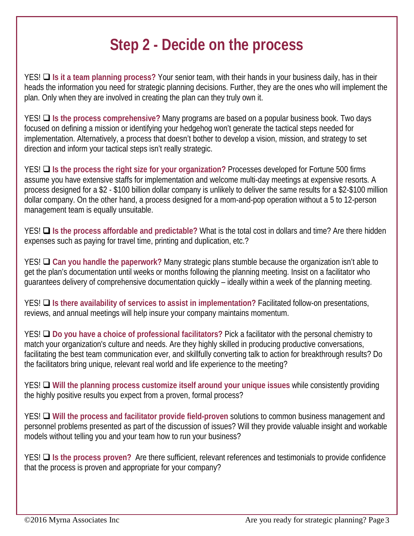#### **Step 2 - Decide on the process**

YES! **Is it a team planning process?** Your senior team, with their hands in your business daily, has in their heads the information you need for strategic planning decisions. Further, they are the ones who will implement the plan. Only when they are involved in creating the plan can they truly own it.

YES! **Is the process comprehensive?** Many programs are based on a popular business book. Two days focused on defining a mission or identifying your hedgehog won't generate the tactical steps needed for implementation. Alternatively, a process that doesn't bother to develop a vision, mission, and strategy to set direction and inform your tactical steps isn't really strategic.

YES! **Is the process the right size for your organization?** Processes developed for Fortune 500 firms assume you have extensive staffs for implementation and welcome multi-day meetings at expensive resorts. A process designed for a \$2 - \$100 billion dollar company is unlikely to deliver the same results for a \$2-\$100 million dollar company. On the other hand, a process designed for a mom-and-pop operation without a 5 to 12-person management team is equally unsuitable.

YES! **Is the process affordable and predictable?** What is the total cost in dollars and time? Are there hidden expenses such as paying for travel time, printing and duplication, etc.?

YES! **Can you handle the paperwork?** Many strategic plans stumble because the organization isn't able to get the plan's documentation until weeks or months following the planning meeting. Insist on a facilitator who guarantees delivery of comprehensive documentation quickly – ideally within a week of the planning meeting.

YES! **Q** Is there availability of services to assist in implementation? Facilitated follow-on presentations, reviews, and annual meetings will help insure your company maintains momentum.

YES! **Do you have a choice of professional facilitators?** Pick a facilitator with the personal chemistry to match your organization's culture and needs. Are they highly skilled in producing productive conversations, facilitating the best team communication ever, and skillfully converting talk to action for breakthrough results? Do the facilitators bring unique, relevant real world and life experience to the meeting?

YES! **Q** Will the planning process customize itself around your unique issues while consistently providing the highly positive results you expect from a proven, formal process?

YES! **Will the process and facilitator provide field-proven** solutions to common business management and personnel problems presented as part of the discussion of issues? Will they provide valuable insight and workable models without telling you and your team how to run your business?

YES! **I** Is the process proven? Are there sufficient, relevant references and testimonials to provide confidence that the process is proven and appropriate for your company?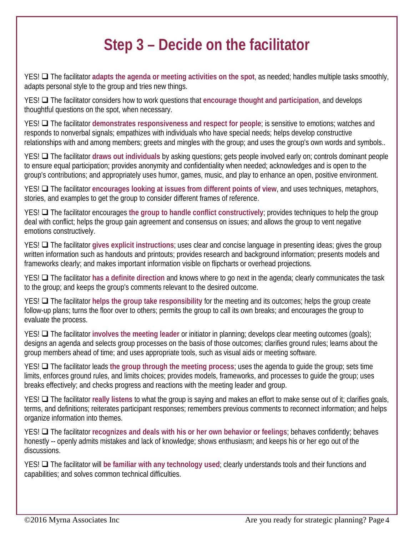#### **Step 3 – Decide on the facilitator**

YES! The facilitator **adapts the agenda or meeting activities on the spot**, as needed; handles multiple tasks smoothly, adapts personal style to the group and tries new things.

YES! **Q** The facilitator considers how to work questions that encourage thought and participation, and develops thoughtful questions on the spot, when necessary.

YES!  $\Box$  The facilitator demonstrates responsiveness and respect for people; is sensitive to emotions; watches and responds to nonverbal signals; empathizes with individuals who have special needs; helps develop constructive relationships with and among members; greets and mingles with the group; and uses the group's own words and symbols..

YES! **The facilitator draws out individuals** by asking questions; gets people involved early on; controls dominant people to ensure equal participation; provides anonymity and confidentiality when needed; acknowledges and is open to the group's contributions; and appropriately uses humor, games, music, and play to enhance an open, positive environment.

YES! The facilitator **encourages looking at issues from different points of view**, and uses techniques, metaphors, stories, and examples to get the group to consider different frames of reference.

YES!  $\Box$  The facilitator encourages the group to handle conflict constructively; provides techniques to help the group deal with conflict; helps the group gain agreement and consensus on issues; and allows the group to vent negative emotions constructively.

YES! **The facilitator gives explicit instructions**; uses clear and concise language in presenting ideas; gives the group written information such as handouts and printouts; provides research and background information; presents models and frameworks clearly; and makes important information visible on flipcharts or overhead projections.

YES! The facilitator **has a definite direction** and knows where to go next in the agenda; clearly communicates the task to the group; and keeps the group's comments relevant to the desired outcome.

YES!  $\Box$  The facilitator helps the group take responsibility for the meeting and its outcomes; helps the group create follow-up plans; turns the floor over to others; permits the group to call its own breaks; and encourages the group to evaluate the process.

YES! The facilitator **involves the meeting leader** or initiator in planning; develops clear meeting outcomes (goals); designs an agenda and selects group processes on the basis of those outcomes; clarifies ground rules; learns about the group members ahead of time; and uses appropriate tools, such as visual aids or meeting software.

YES! The facilitator leads **the group through the meeting process**; uses the agenda to guide the group; sets time limits, enforces ground rules, and limits choices; provides models, frameworks, and processes to guide the group; uses breaks effectively; and checks progress and reactions with the meeting leader and group.

YES! **Q** The facilitator really listens to what the group is saying and makes an effort to make sense out of it; clarifies goals, terms, and definitions; reiterates participant responses; remembers previous comments to reconnect information; and helps organize information into themes.

YES!  $\Box$  The facilitator recognizes and deals with his or her own behavior or feelings; behaves confidently; behaves honestly -- openly admits mistakes and lack of knowledge; shows enthusiasm; and keeps his or her ego out of the discussions.

YES! **The facilitator will be familiar with any technology used**; clearly understands tools and their functions and capabilities; and solves common technical difficulties.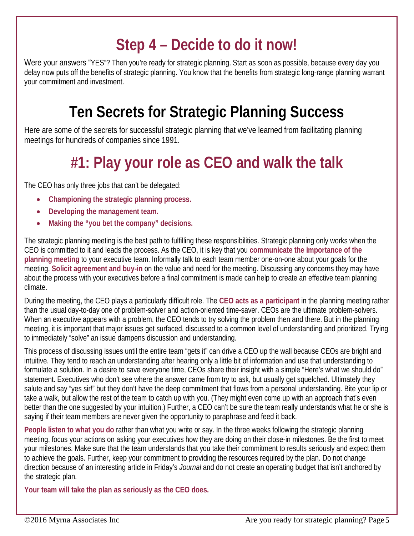#### **Step 4 – Decide to do it now!**

Were your answers "YES"? Then you're ready for strategic planning. Start as soon as possible, because every day you delay now puts off the benefits of strategic planning. You know that the benefits from strategic long-range planning warrant your commitment and investment.

#### **Ten Secrets for Strategic Planning Success**

Here are some of the secrets for successful strategic planning that we've learned from facilitating planning meetings for hundreds of companies since 1991.

### **#1: Play your role as CEO and walk the talk**

The CEO has only three jobs that can't be delegated:

- **Championing the strategic planning process.**
- **Developing the management team.**
- **Making the "you bet the company" decisions.**

The strategic planning meeting is the best path to fulfilling these responsibilities. Strategic planning only works when the CEO is committed to it and leads the process. As the CEO, it is key that you **communicate the importance of the planning meeting** to your executive team. Informally talk to each team member one-on-one about your goals for the meeting. **Solicit agreement and buy-in** on the value and need for the meeting. Discussing any concerns they may have about the process with your executives before a final commitment is made can help to create an effective team planning climate.

During the meeting, the CEO plays a particularly difficult role. The **CEO acts as a participant** in the planning meeting rather than the usual day-to-day one of problem-solver and action-oriented time-saver. CEOs are the ultimate problem-solvers. When an executive appears with a problem, the CEO tends to try solving the problem then and there. But in the planning meeting, it is important that major issues get surfaced, discussed to a common level of understanding and prioritized. Trying to immediately "solve" an issue dampens discussion and understanding.

This process of discussing issues until the entire team "gets it" can drive a CEO up the wall because CEOs are bright and intuitive. They tend to reach an understanding after hearing only a little bit of information and use that understanding to formulate a solution. In a desire to save everyone time, CEOs share their insight with a simple "Here's what we should do" statement. Executives who don't see where the answer came from try to ask, but usually get squelched. Ultimately they salute and say "yes sir!" but they don't have the deep commitment that flows from a personal understanding. Bite your lip or take a walk, but allow the rest of the team to catch up with you. (They might even come up with an approach that's even better than the one suggested by your intuition.) Further, a CEO can't be sure the team really understands what he or she is saying if their team members are never given the opportunity to paraphrase and feed it back.

**People listen to what you do** rather than what you write or say. In the three weeks following the strategic planning meeting, focus your actions on asking your executives how they are doing on their close-in milestones. Be the first to meet your milestones. Make sure that the team understands that you take their commitment to results seriously and expect them to achieve the goals. Further, keep your commitment to providing the resources required by the plan. Do not change direction because of an interesting article in Friday's *Journal* and do not create an operating budget that isn't anchored by the strategic plan.

**Your team will take the plan as seriously as the CEO does.**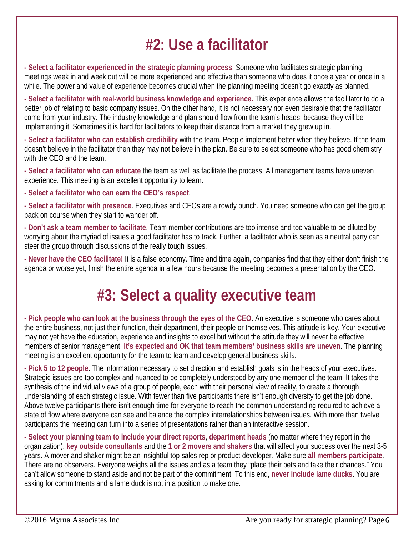#### **#2: Use a facilitator**

**- Select a facilitator experienced in the strategic planning process**. Someone who facilitates strategic planning meetings week in and week out will be more experienced and effective than someone who does it once a year or once in a while. The power and value of experience becomes crucial when the planning meeting doesn't go exactly as planned.

**- Select a facilitator with real-world business knowledge and experience.** This experience allows the facilitator to do a better job of relating to basic company issues. On the other hand, it is not necessary nor even desirable that the facilitator come from your industry. The industry knowledge and plan should flow from the team's heads, because they will be implementing it. Sometimes it is hard for facilitators to keep their distance from a market they grew up in.

**- Select a facilitator who can establish credibility** with the team. People implement better when they believe. If the team doesn't believe in the facilitator then they may not believe in the plan. Be sure to select someone who has good chemistry with the CEO and the team.

**- Select a facilitator who can educate** the team as well as facilitate the process. All management teams have uneven experience. This meeting is an excellent opportunity to learn.

**- Select a facilitator who can earn the CEO's respect**.

**- Select a facilitator with presence**. Executives and CEOs are a rowdy bunch. You need someone who can get the group back on course when they start to wander off.

**- Don't ask a team member to facilitate**. Team member contributions are too intense and too valuable to be diluted by worrying about the myriad of issues a good facilitator has to track. Further, a facilitator who is seen as a neutral party can steer the group through discussions of the really tough issues.

**- Never have the CEO facilitate!** It is a false economy. Time and time again, companies find that they either don't finish the agenda or worse yet, finish the entire agenda in a few hours because the meeting becomes a presentation by the CEO.

#### **#3: Select a quality executive team**

**- Pick people who can look at the business through the eyes of the CEO**. An executive is someone who cares about the entire business, not just their function, their department, their people or themselves. This attitude is key. Your executive may not yet have the education, experience and insights to excel but without the attitude they will never be effective members of senior management. **It's expected and OK that team members' business skills are uneven**. The planning meeting is an excellent opportunity for the team to learn and develop general business skills.

**- Pick 5 to 12 people**. The information necessary to set direction and establish goals is in the heads of your executives. Strategic issues are too complex and nuanced to be completely understood by any one member of the team. It takes the synthesis of the individual views of a group of people, each with their personal view of reality, to create a thorough understanding of each strategic issue. With fewer than five participants there isn't enough diversity to get the job done. Above twelve participants there isn't enough time for everyone to reach the common understanding required to achieve a state of flow where everyone can see and balance the complex interrelationships between issues. With more than twelve participants the meeting can turn into a series of presentations rather than an interactive session.

**- Select your planning team to include your direct reports**, **department heads** (no matter where they report in the organization), **key outside consultants** and the **1 or 2 movers and shakers** that will affect your success over the next 3-5 years. A mover and shaker might be an insightful top sales rep or product developer. Make sure **all members participate**. There are no observers. Everyone weighs all the issues and as a team they "place their bets and take their chances." You can't allow someone to stand aside and not be part of the commitment. To this end, **never include lame ducks**. You are asking for commitments and a lame duck is not in a position to make one.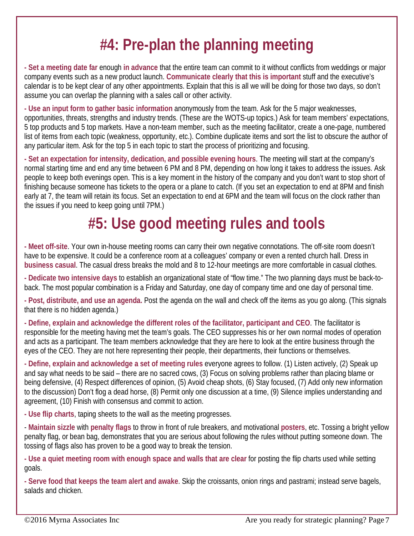### **#4: Pre-plan the planning meeting**

**- Set a meeting date far** enough **in advance** that the entire team can commit to it without conflicts from weddings or major company events such as a new product launch. **Communicate clearly that this is important** stuff and the executive's calendar is to be kept clear of any other appointments. Explain that this is all we will be doing for those two days, so don't assume you can overlap the planning with a sales call or other activity.

**- Use an input form to gather basic information** anonymously from the team. Ask for the 5 major weaknesses, opportunities, threats, strengths and industry trends. (These are the WOTS-up topics.) Ask for team members' expectations, 5 top products and 5 top markets. Have a non-team member, such as the meeting facilitator, create a one-page, numbered list of items from each topic (weakness, opportunity, etc.). Combine duplicate items and sort the list to obscure the author of any particular item. Ask for the top 5 in each topic to start the process of prioritizing and focusing.

**- Set an expectation for intensity, dedication, and possible evening hours**. The meeting will start at the company's normal starting time and end any time between 6 PM and 8 PM, depending on how long it takes to address the issues. Ask people to keep both evenings open. This is a key moment in the history of the company and you don't want to stop short of finishing because someone has tickets to the opera or a plane to catch. (If you set an expectation to end at 8PM and finish early at 7, the team will retain its focus. Set an expectation to end at 6PM and the team will focus on the clock rather than the issues if you need to keep going until 7PM.)

### **#5: Use good meeting rules and tools**

**- Meet off-site**. Your own in-house meeting rooms can carry their own negative connotations. The off-site room doesn't have to be expensive. It could be a conference room at a colleagues' company or even a rented church hall. Dress in **business casual**. The casual dress breaks the mold and 8 to 12-hour meetings are more comfortable in casual clothes.

**- Dedicate two intensive days** to establish an organizational state of "flow time." The two planning days must be back-toback. The most popular combination is a Friday and Saturday, one day of company time and one day of personal time.

**- Post, distribute, and use an agenda.** Post the agenda on the wall and check off the items as you go along. (This signals that there is no hidden agenda.)

**- Define, explain and acknowledge the different roles of the facilitator, participant and CEO**. The facilitator is responsible for the meeting having met the team's goals. The CEO suppresses his or her own normal modes of operation and acts as a participant. The team members acknowledge that they are here to look at the entire business through the eyes of the CEO. They are not here representing their people, their departments, their functions or themselves.

**- Define, explain and acknowledge a set of meeting rules** everyone agrees to follow. (1) Listen actively, (2) Speak up and say what needs to be said – there are no sacred cows, (3) Focus on solving problems rather than placing blame or being defensive, (4) Respect differences of opinion, (5) Avoid cheap shots, (6) Stay focused, (7) Add only new information to the discussion) Don't flog a dead horse, (8) Permit only one discussion at a time, (9) Silence implies understanding and agreement, (10) Finish with consensus and commit to action.

**- Use flip charts**, taping sheets to the wall as the meeting progresses.

- **Maintain sizzle** with **penalty flags** to throw in front of rule breakers, and motivational **posters**, etc. Tossing a bright yellow penalty flag, or bean bag, demonstrates that you are serious about following the rules without putting someone down. The tossing of flags also has proven to be a good way to break the tension.

**- Use a quiet meeting room with enough space and walls that are clear** for posting the flip charts used while setting goals.

**- Serve food that keeps the team alert and awake**. Skip the croissants, onion rings and pastrami; instead serve bagels, salads and chicken.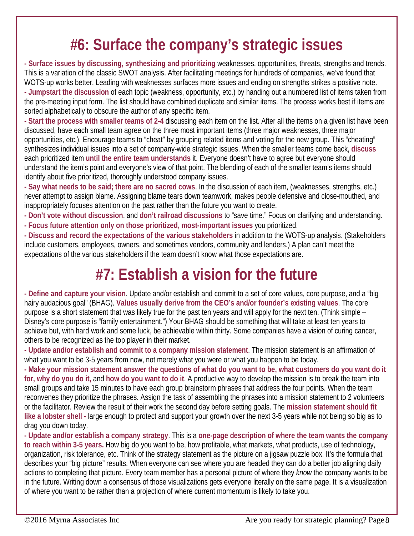#### **#6: Surface the company's strategic issues**

**- Surface issues by discussing, synthesizing and prioritizing** weaknesses, opportunities, threats, strengths and trends. This is a variation of the classic SWOT analysis. After facilitating meetings for hundreds of companies, we've found that WOTS-up works better. Leading with weaknesses surfaces more issues and ending on strengths strikes a positive note. **- Jumpstart the discussion** of each topic (weakness, opportunity, etc.) by handing out a numbered list of items taken from the pre-meeting input form. The list should have combined duplicate and similar items. The process works best if items are sorted alphabetically to obscure the author of any specific item.

**- Start the process with smaller teams of 2-4** discussing each item on the list. After all the items on a given list have been discussed, have each small team agree on the three most important items (three major weaknesses, three major opportunities, etc.). Encourage teams to "cheat" by grouping related items and voting for the new group. This "cheating" synthesizes individual issues into a set of company-wide strategic issues. When the smaller teams come back, **discuss** each prioritized item **until the entire team understands** it. Everyone doesn't have to agree but everyone should understand the item's point and everyone's view of that point. The blending of each of the smaller team's items should identify about five prioritized, thoroughly understood company issues.

**- Say what needs to be said; there are no sacred cows**. In the discussion of each item, (weaknesses, strengths, etc.) never attempt to assign blame. Assigning blame tears down teamwork, makes people defensive and close-mouthed, and inappropriately focuses attention on the past rather than the future you want to create.

- **- Don't vote without discussion**, and **don't railroad discussions** to "save time." Focus on clarifying and understanding.
- **- Focus future attention only on those prioritized, most-important issues** you prioritized.

**- Discuss and record the expectations of the various stakeholders** in addition to the WOTS-up analysis. (Stakeholders include customers, employees, owners, and sometimes vendors, community and lenders.) A plan can't meet the expectations of the various stakeholders if the team doesn't know what those expectations are.

#### **#7: Establish a vision for the future**

**- Define and capture your vision**. Update and/or establish and commit to a set of core values, core purpose, and a "big hairy audacious goal" (BHAG). **Values usually derive from the CEO's and/or founder's existing values**. The core purpose is a short statement that was likely true for the past ten years and will apply for the next ten. (Think simple – Disney's core purpose is "family entertainment.") Your BHAG should be something that will take at least ten years to achieve but, with hard work and some luck, be achievable within thirty. Some companies have a vision of curing cancer, others to be recognized as the top player in their market.

**- Update and/or establish and commit to a company mission statement**. The mission statement is an affirmation of what you want to be 3-5 years from now, not merely what you were or what you happen to be today.

**- Make your mission statement answer the questions of what do you want to be, what customers do you want do it for, why do you do it,** and **how do you want to do it**. A productive way to develop the mission is to break the team into small groups and take 15 minutes to have each group brainstorm phrases that address the four points. When the team reconvenes they prioritize the phrases. Assign the task of assembling the phrases into a mission statement to 2 volunteers or the facilitator. Review the result of their work the second day before setting goals. The **mission statement should fit like a lobster shell -** large enough to protect and support your growth over the next 3-5 years while not being so big as to drag you down today.

**- Update and/or establish a company strategy**. This is a **one-page description of where the team wants the company to reach within 3-5 years.** How big do you want to be, how profitable, what markets, what products, use of technology, organization, risk tolerance, etc. Think of the strategy statement as the picture on a jigsaw puzzle box. It's the formula that describes your "big picture" results. When everyone can see where you are headed they can do a better job aligning daily actions to completing that picture. Every team member has a personal picture of where they *know* the company wants to be in the future. Writing down a consensus of those visualizations gets everyone literally on the same page. It is a visualization of where you want to be rather than a projection of where current momentum is likely to take you.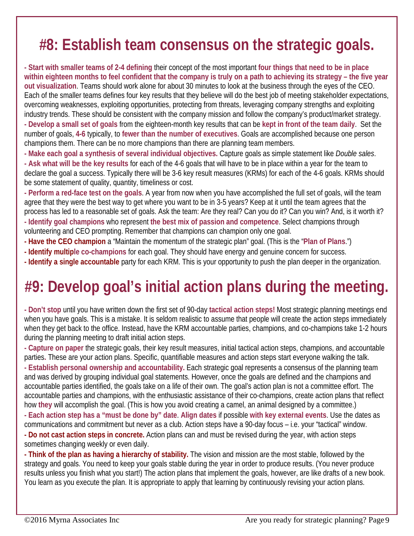#### **#8: Establish team consensus on the strategic goals.**

**- Start with smaller teams of 2-4 defining** their concept of the most important **four things that need to be in place within eighteen months to feel confident that the company is truly on a path to achieving its strategy – the five year out visualization**. Teams should work alone for about 30 minutes to look at the business through the eyes of the CEO. Each of the smaller teams defines four key results that they believe will do the best job of meeting stakeholder expectations, overcoming weaknesses, exploiting opportunities, protecting from threats, leveraging company strengths and exploiting industry trends. These should be consistent with the company mission and follow the company's product/market strategy.

**- Develop a small set of goals** from the eighteen-month key results that can be **kept in front of the team daily**. Set the number of goals, **4-6** typically, to **fewer than the number of executives**. Goals are accomplished because one person champions them. There can be no more champions than there are planning team members.

**- Make each goal a synthesis of several individual objectives.** Capture goals as simple statement like *Double sales*.

**- Ask what will be the key results** for each of the 4-6 goals that will have to be in place within a year for the team to declare the goal a success. Typically there will be 3-6 key result measures (KRMs) for each of the 4-6 goals. KRMs should be some statement of quality, quantity, timeliness or cost.

**- Perform a red-face test on the goals**. A year from now when you have accomplished the full set of goals, will the team agree that they were the best way to get where you want to be in 3-5 years? Keep at it until the team agrees that the process has led to a reasonable set of goals. Ask the team: Are they real? Can you do it? Can you win? And, is it worth it? **- Identify goal champions** who represent **the best mix of passion and competence**. Select champions through volunteering and CEO prompting. Remember that champions can champion only one goal.

- **- Have the CEO champion** a "Maintain the momentum of the strategic plan" goal. (This is the "**Plan of Plans**.")
- **- Identify multiple co-champions** for each goal. They should have energy and genuine concern for success.
- **- Identify a single accountable** party for each KRM. This is your opportunity to push the plan deeper in the organization.

#### **#9: Develop goal's initial action plans during the meeting.**

**- Don't stop** until you have written down the first set of 90-day **tactical action steps!** Most strategic planning meetings end when you have goals. This is a mistake. It is seldom realistic to assume that people will create the action steps immediately when they get back to the office. Instead, have the KRM accountable parties, champions, and co-champions take 1-2 hours during the planning meeting to draft initial action steps.

**- Capture on paper** the strategic goals, their key result measures, initial tactical action steps, champions, and accountable parties**.** These are your action plans. Specific, quantifiable measures and action steps start everyone walking the talk.

**- Establish personal ownership and accountability.** Each strategic goal represents a consensus of the planning team and was derived by grouping individual goal statements. However, once the goals are defined and the champions and accountable parties identified, the goals take on a life of their own. The goal's action plan is not a committee effort. The accountable parties and champions, with the enthusiastic assistance of their co-champions, create action plans that reflect how **they** will accomplish the goal. (This is how you avoid creating a camel, an animal designed by a committee.)

**- Each action step has a "must be done by" date**. **Align dates** if possible **with key external events**. Use the dates as communications and commitment but never as a club. Action steps have a 90-day focus – i.e. your "tactical" window.

**- Do not cast action steps in concrete.** Action plans can and must be revised during the year, with action steps sometimes changing weekly or even daily.

**- Think of the plan as having a hierarchy of stability.** The vision and mission are the most stable, followed by the strategy and goals. You need to keep your goals stable during the year in order to produce results. (You never produce results unless you finish what you start!) The action plans that implement the goals, however, are like drafts of a new book. You learn as you execute the plan. It is appropriate to apply that learning by continuously revising your action plans.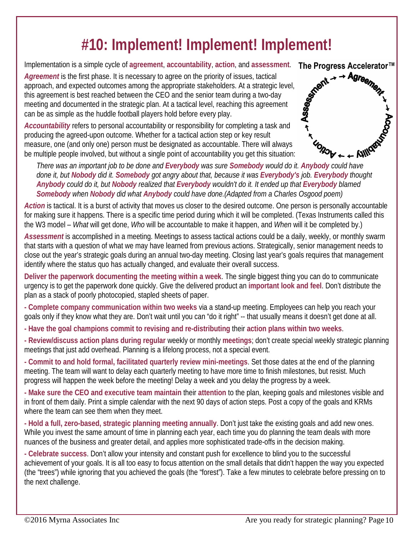#### **#10: Implement! Implement! Implement!**

Implementation is a simple cycle of **agreement**, **accountability**, **action**, and **assessment**.

*Agreement* is the first phase. It is necessary to agree on the priority of issues, tactical Agreement is the first phase. It is necessary to agree on the priority of issues, tactical<br>approach, and expected outcomes among the appropriate stakeholders. At a strategic level,<br>this agreement is best reached between th this agreement is best reached between the CEO and the senior team during a two-day meeting and documented in the strategic plan. At a tactical level, reaching this agreement can be as simple as the huddle football players hold before every play.

*Accountability* refers to personal accountability or responsibility for completing a task and producing the agreed-upon outcome. Whether for a tactical action step or key result measure, one (and only one) person must be designated as accountable. There will always be multiple people involved, but without a single point of accountability you get this situation: *There was an important job to be done and Everybody was sure Somebody would do it. Anybody could have*<br>There was an important job to be done and *Everybody was sure Somebody would do it. Anybody could have*  $\leftarrow \text{AUC}$ 



*done it, but Nobody did it. Somebody got angry about that, because it was Everybody's job. Everybody thought Anybody could do it, but Nobody realized that Everybody wouldn't do it. It ended up that Everybody blamed Somebody when Nobody did what Anybody could have done.(Adapted from a Charles Osgood poem)*

*Action* is tactical. It is a burst of activity that moves us closer to the desired outcome. One person is personally accountable for making sure it happens. There is a specific time period during which it will be completed. (Texas Instruments called this the W3 model – *What* will get done, *Who* will be accountable to make it happen, and *When* will it be completed by.)

*Assessment* is accomplished in a meeting. Meetings to assess tactical actions could be a daily, weekly, or monthly swarm that starts with a question of what we may have learned from previous actions. Strategically, senior management needs to close out the year's strategic goals during an annual two-day meeting. Closing last year's goals requires that management identify where the status quo has actually changed, and evaluate their overall success.

**Deliver the paperwork documenting the meeting within a week**. The single biggest thing you can do to communicate urgency is to get the paperwork done quickly. Give the delivered product an **important look and feel**. Don't distribute the plan as a stack of poorly photocopied, stapled sheets of paper.

**- Complete company communication within two weeks** via a stand-up meeting. Employees can help you reach your goals only if they know what they are. Don't wait until you can "do it right" -- that usually means it doesn't get done at all.

- **- Have the goal champions commit to revising and re-distributing** their **action plans within two weeks**.
- **- Review/discuss action plans during regular** weekly or monthly **meetings**; don't create special weekly strategic planning meetings that just add overhead. Planning is a lifelong process, not a special event.

**- Commit to and hold formal, facilitated quarterly review mini-meetings**. Set those dates at the end of the planning meeting. The team will want to delay each quarterly meeting to have more time to finish milestones, but resist. Much progress will happen the week before the meeting! Delay a week and you delay the progress by a week.

**- Make sure the CEO and executive team maintain** their **attention** to the plan, keeping goals and milestones visible and in front of them daily. Print a simple calendar with the next 90 days of action steps. Post a copy of the goals and KRMs where the team can see them when they meet.

**- Hold a full, zero-based, strategic planning meeting annually**. Don't just take the existing goals and add new ones. While you invest the same amount of time in planning each year, each time you do planning the team deals with more nuances of the business and greater detail, and applies more sophisticated trade-offs in the decision making.

**- Celebrate success**. Don't allow your intensity and constant push for excellence to blind you to the successful achievement of your goals. It is all too easy to focus attention on the small details that didn't happen the way you expected (the "trees") while ignoring that you achieved the goals (the "forest"). Take a few minutes to celebrate before pressing on to the next challenge.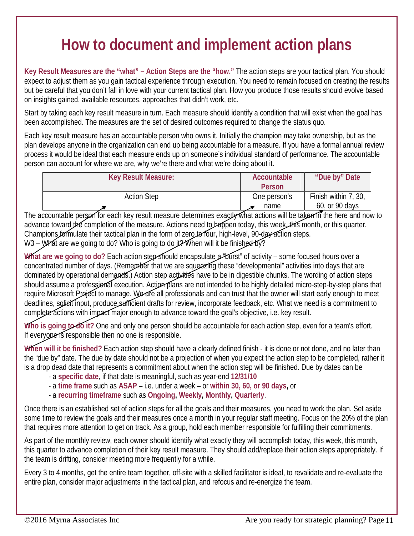#### **How to document and implement action plans**

**Key Result Measures are the "what" – Action Steps are the "how."** The action steps are your tactical plan. You should expect to adjust them as you gain tactical experience through execution. You need to remain focused on creating the results but be careful that you don't fall in love with your current tactical plan. How you produce those results should evolve based on insights gained, available resources, approaches that didn't work, etc.

Start by taking each key result measure in turn. Each measure should identify a condition that will exist when the goal has been accomplished. The measures are the set of desired outcomes required to change the status quo.

Each key result measure has an accountable person who owns it. Initially the champion may take ownership, but as the plan develops anyone in the organization can end up being accountable for a measure. If you have a formal annual review process it would be ideal that each measure ends up on someone's individual standard of performance. The accountable person can account for where we are, why we're there and what we're doing about it.

The accountable person for each key result measure determines exactly what actions will be taken in the here and now to advance toward the completion of the measure. Actions need to happen today, this week, this month, or this quarter. Champions formulate their tactical plan in the form of zero to four, high-level, 90-day action steps. W3 – What are we going to do? Who is going to do it? When will it be finished by?

**What are we going to do?** Each action step should encapsulate a "burst" of activity – some focused hours over a

concentrated number of days. (Remember that we are squeezing these "developmental" activities into days that are dominated by operational demands.) Action step activities have to be in digestible chunks. The wording of action steps should assume a professional execution. Action plans are not intended to be highly detailed micro-step-by-step plans that require Microsoft Project to manage. We are all professionals and can trust that the owner will start early enough to meet deadlines, solicit input, produce sufficient drafts for review, incorporate feedback, etc. What we need is a commitment to complete actions with impact major enough to advance toward the goal's objective, i.e. key result.

Who is going to do it? One and only one person should be accountable for each action step, even for a team's effort. If everyone is responsible then no one is responsible.

**When will it be finished?** Each action step should have a clearly defined finish - it is done or not done, and no later than the "due by" date. The due by date should not be a projection of when you expect the action step to be completed, rather it is a drop dead date that represents a commitment about when the action step will be finished. Due by dates can be

- a **specific date**, if that date is meaningful, such as year-end **12/31/10**
- a **time frame** such as **ASAP** i.e. under a week or **within 30, 60, or 90 days,** or
- a **recurring timeframe** such as **Ongoing, Weekly, Monthly, Quarterly**.

Once there is an established set of action steps for all the goals and their measures, you need to work the plan. Set aside some time to review the goals and their measures once a month in your regular staff meeting. Focus on the 20% of the plan that requires more attention to get on track. As a group, hold each member responsible for fulfilling their commitments.

As part of the monthly review, each owner should identify what exactly they will accomplish today, this week, this month, this quarter to advance completion of their key result measure. They should add/replace their action steps appropriately. If the team is drifting, consider meeting more frequently for a while.

Every 3 to 4 months, get the entire team together, off-site with a skilled facilitator is ideal, to revalidate and re-evaluate the entire plan, consider major adjustments in the tactical plan, and refocus and re-energize the team.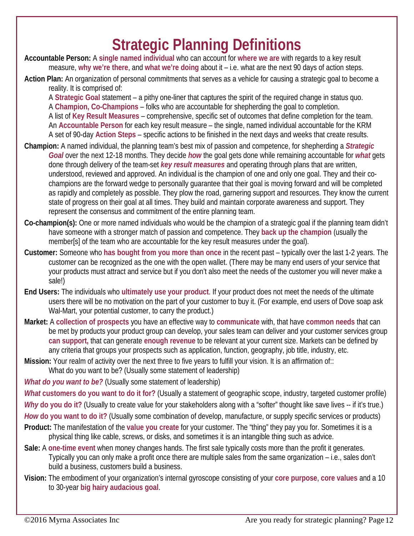#### **Strategic Planning Definitions**

**Accountable Person:** A **single named individual** who can account for **where we are** with regards to a key result measure, **why we're there**, and **what we're doing** about it – i.e. what are the next 90 days of action steps.

**Action Plan:** An organization of personal commitments that serves as a vehicle for causing a strategic goal to become a reality. It is comprised of:

A **Strategic Goal** statement – a pithy one-liner that captures the spirit of the required change in status quo. A **Champion, Co-Champions** – folks who are accountable for shepherding the goal to completion. A list of **Key Result Measures** – comprehensive, specific set of outcomes that define completion for the team. An **Accountable Person** for each key result measure – the single, named individual accountable for the KRM A set of 90-day **Action Steps** – specific actions to be finished in the next days and weeks that create results.

- **Champion:** A named individual, the planning team's best mix of passion and competence, for shepherding a *Strategic Goal* over the next 12-18 months. They decide *how* the goal gets done while remaining accountable for *what* gets done through delivery of the team-set *key result measures* and operating through plans that are written, understood, reviewed and approved. An individual is the champion of one and only one goal. They and their cochampions are the forward wedge to personally guarantee that their goal is moving forward and will be completed as rapidly and completely as possible. They plow the road, garnering support and resources. They know the current state of progress on their goal at all times. They build and maintain corporate awareness and support. They represent the consensus and commitment of the entire planning team.
- **Co-champion(s):** One or more named individuals who would be the champion of a strategic goal if the planning team didn't have someone with a stronger match of passion and competence. They **back up the champion** (usually the member[s] of the team who are accountable for the key result measures under the goal).
- **Customer:** Someone who **has bought from you more than once** in the recent past typically over the last 1-2 years. The customer can be recognized as the one with the open wallet. (There may be many end users of your service that your products must attract and service but if you don't also meet the needs of the customer you will never make a sale!)
- **End Users:** The individuals who **ultimately use your product**. If your product does not meet the needs of the ultimate users there will be no motivation on the part of your customer to buy it. (For example, end users of Dove soap ask Wal-Mart, your potential customer, to carry the product.)
- **Market:** A **collection of prospects** you have an effective way to **communicate** with, that have **common needs** that can be met by products your product group can develop, your sales team can deliver and your customer services group **can support,** that can generate **enough revenue** to be relevant at your current size. Markets can be defined by any criteria that groups your prospects such as application, function, geography, job title, industry, etc.
- **Mission:** Your realm of activity over the next three to five years to fulfill your vision. It is an affirmation of:: What do you want to be? (Usually some statement of leadership)

*What do you want to be?* (Usually some statement of leadership)

*What* **customers do you want to do it for?** (Usually a statement of geographic scope, industry, targeted customer profile)

*Why* **do you do it?** (Usually to create value for your stakeholders along with a "softer" thought like save lives -- if it's true.)

*How* **do you want to do it?** (Usually some combination of develop, manufacture, or supply specific services or products)

- **Product:** The manifestation of the **value you create** for your customer. The "thing" they pay you for. Sometimes it is a physical thing like cable, screws, or disks, and sometimes it is an intangible thing such as advice.
- **Sale:** A **one-time event** when money changes hands. The first sale typically costs more than the profit it generates. Typically you can only make a profit once there are multiple sales from the same organization – i.e., sales don't build a business, customers build a business.
- **Vision:** The embodiment of your organization's internal gyroscope consisting of your **core purpose**, **core values** and a 10 to 30-year **big hairy audacious goal**.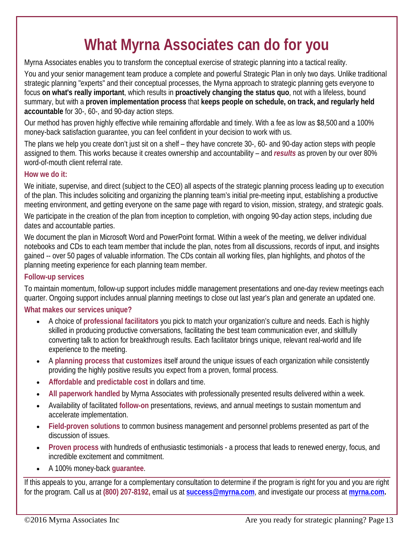#### **What Myrna Associates can do for you**

Myrna Associates enables you to transform the conceptual exercise of strategic planning into a tactical reality.

You and your senior management team produce a complete and powerful Strategic Plan in only two days. Unlike traditional strategic planning "experts" and their conceptual processes, the Myrna approach to strategic planning gets everyone to focus **on what's really important**, which results in **proactively changing the status quo**, not with a lifeless, bound summary, but with a **proven implementation process** that **keeps people on schedule, on track, and regularly held accountable** for 30-, 60-, and 90-day action steps.

Our method has proven highly effective while remaining affordable and timely. With a fee as low as \$8,500 and a 100% money-back satisfaction guarantee, you can feel confident in your decision to work with us.

The plans we help you create don't just sit on a shelf – they have concrete 30-, 60- and 90-day action steps with people assigned to them. This works because it creates ownership and accountability – and *results* as proven by our over 80% word-of-mouth client referral rate.

#### **How we do it:**

We initiate, supervise, and direct (subject to the CEO) all aspects of the strategic planning process leading up to execution of the plan. This includes soliciting and organizing the planning team's initial pre-meeting input, establishing a productive meeting environment, and getting everyone on the same page with regard to vision, mission, strategy, and strategic goals.

We participate in the creation of the plan from inception to completion, with ongoing 90-day action steps, including due dates and accountable parties.

We document the plan in Microsoft Word and PowerPoint format. Within a week of the meeting, we deliver individual notebooks and CDs to each team member that include the plan, notes from all discussions, records of input, and insights gained -- over 50 pages of valuable information. The CDs contain all working files, plan highlights, and photos of the planning meeting experience for each planning team member.

#### **Follow-up services**

To maintain momentum, follow-up support includes middle management presentations and one-day review meetings each quarter. Ongoing support includes annual planning meetings to close out last year's plan and generate an updated one.

#### **What makes our services unique?**

- A choice of **professional facilitators** you pick to match your organization's culture and needs. Each is highly skilled in producing productive conversations, facilitating the best team communication ever, and skillfully converting talk to action for breakthrough results. Each facilitator brings unique, relevant real-world and life experience to the meeting.
- A **planning process that customizes** itself around the unique issues of each organization while consistently providing the highly positive results you expect from a proven, formal process.
- **Affordable** and **predictable cost** in dollars and time.
- **All paperwork handled** by Myrna Associates with professionally presented results delivered within a week.
- Availability of facilitated **follow-on** presentations, reviews, and annual meetings to sustain momentum and accelerate implementation.
- **Field-proven solutions** to common business management and personnel problems presented as part of the discussion of issues.
- **Proven process** with hundreds of enthusiastic testimonials a process that leads to renewed energy, focus, and incredible excitement and commitment.
- A 100% money-back **guarantee**.

If this appeals to you, arrange for a complementary consultation to determine if the program is right for you and you are right for the program. Call us at **(800) 207-8192,** email us at **[success@myrna.com](mailto:success@myrna.com)**, and investigate our process at **[myrna.com.](http://www.myrna.com/)**